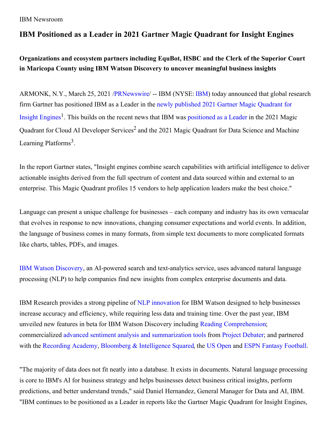## **IBM Positioned as a Leader in 2021 Gartner Magic Quadrant for Insight Engines**

**Organizations and ecosystem partners including EquBot, HSBC and the Clerk of the Superior Court in Maricopa County using IBM Watson Discovery to uncover meaningful business insights**

ARMONK, N.Y., March 25, 2021 [/PRNewswire](http://www.prnewswire.com/)/ -- IBM (NYSE: [IBM](https://c212.net/c/link/?t=0&l=en&o=3108178-1&h=1225566159&u=http%3A%2F%2Fwww.ibm.com%2Finvestor&a=IBM)) today announced that global research firm Gartner has positioned IBM as a Leader in the newly published 2021 Gartner Magic Quadrant for Insight Engines<sup>1</sup>. This builds on the recent news that IBM was [positioned](https://c212.net/c/link/?t=0&l=en&o=3108178-1&h=3333140211&u=https%3A%2F%2Fwww.ibm.com%2Fblogs%2Fwatson%2F2021%2F03%2Fibm-gartner-leader-2021-magic-quadrant-insight-engines%2F&a=newly+published+2021+Gartner+Magic+Quadrant+for+Insight+Engines) as a Leader in the 2021 Magic Quadrant for Cloud AI Developer Services<sup>2</sup> and the 2021 Magic Quadrant for Data Science and Machine Learning Platforms<sup>3</sup>.

In the report Gartner states, "Insight engines combine search capabilities with artificial intelligence to deliver actionable insights derived from the full spectrum of content and data sourced within and external to an enterprise. This Magic Quadrant profiles 15 vendors to help application leaders make the best choice."

Language can present a unique challenge for businesses – each company and industry has its own vernacular that evolves in response to new innovations, changing consumer expectations and world events. In addition, the language of business comes in many formats, from simple text documents to more complicated formats like charts, tables, PDFs, and images.

IBM Watson [Discovery](https://c212.net/c/link/?t=0&l=en&o=3108178-1&h=2689420460&u=https%3A%2F%2Fwww.ibm.com%2Fcloud%2Fwatson-discovery&a=IBM+Watson+Discovery), an AI-powered search and text-analytics service, uses advanced natural language processing (NLP) to help companies find new insights from complex enterprise documents and data.

IBM Research provides a strong pipeline of NLP [innovation](https://c212.net/c/link/?t=0&l=en&o=3108178-1&h=4111705510&u=https%3A%2F%2Fwww.research.ibm.com%2Fartificial-intelligence%2Fproject-debater%2F&a=NLP+innovation) for IBM Watson designed to help businesses increase accuracy and efficiency, while requiring less data and training time. Over the past year, IBM unveiled new features in beta for IBM Watson Discovery including Reading [Comprehension](https://c212.net/c/link/?t=0&l=en&o=3108178-1&h=3762890388&u=https%3A%2F%2Fnewsroom.ibm.com%2F2020-12-09-IBM-Launches-New-Innovative-Capabilities-for-Watson&a=Reading+Comprehension); commercialized advanced sentiment analysis and [summarization](https://c212.net/c/link/?t=0&l=en&o=3108178-1&h=3786897133&u=https%3A%2F%2Fnewsroom.ibm.com%2F2020-03-11-IBM-Advances-Watsons-Ability-to-Understand-the-Language-of-Business-1&a=advanced+sentiment+analysis+and+summarization+tools) tools from Project [Debater](https://c212.net/c/link/?t=0&l=en&o=3108178-1&h=2940828023&u=https%3A%2F%2Fwww.research.ibm.com%2Fartificial-intelligence%2Fproject-debater%2F&a=Project+Debater); and partnered with the [Recording](https://c212.net/c/link/?t=0&l=en&o=3108178-1&h=468659650&u=https%3A%2F%2Fnewsroom.ibm.com%2F2021-03-02-IBM-and-the-Recording-Academy-R-Debut-New-Fan-Experience-powered-by-Watson-and-IBM-Cloud-Ahead-of-the-63rd-Annual-GRAMMY-Awards-R&a=Recording+Academy) Academy, Bloomberg & [Intelligence](https://c212.net/c/link/?t=0&l=en&o=3108178-1&h=3671300942&u=https%3A%2F%2Fwww.multivu.com%2Fplayers%2FEnglish%2F8668653-ibm-watson-thats-debatable-premiere%2F&a=Bloomberg+%26+Intelligence+Squared) Squared, the US [Open](https://c212.net/c/link/?t=0&l=en&o=3108178-1&h=2062164346&u=https%3A%2F%2Fnewsroom.ibm.com%2F2020-08-28-IBM-Creates-New-Fan-Experiences-using-AI-and-Hybrid-Cloud-for-First-Ever-Spectator-less-US-Open&a=US+Open) and ESPN Fantasy [Football](https://c212.net/c/link/?t=0&l=en&o=3108178-1&h=893852043&u=https%3A%2F%2Fnewsroom.ibm.com%2F2020-09-10-IBM-and-ESPN-Announce-New-Feature-in-Fantasy-Football-App-That-Uses-Artificial-Intelligence-from-IBM-Watson-To-Create-Fair-Trades&a=ESPN+Fantasy+Football).

"The majority of data does not fit neatly into a database. It exists in documents. Natural language processing is core to IBM's AI for business strategy and helps businesses detect business critical insights, perform predictions, and better understand trends," said Daniel Hernandez, General Manager for Data and AI, IBM. "IBM continues to be positioned as a Leader in reports like the Gartner Magic Quadrant for Insight Engines,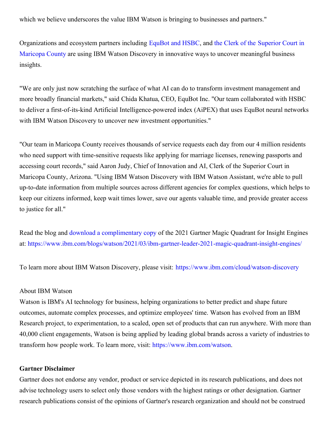which we believe underscores the value IBM Watson is bringing to businesses and partners."

[Organizations](https://c212.net/c/link/?t=0&l=en&o=3108178-1&h=2993491514&u=https%3A%2F%2Fwww.ibm.com%2Fblogs%2Fwatson%2F2020%2F05%2Fclerk-of-the-superior-court-in-maricopa-county-delivering-fast-accurate-answers-to-the-public%2F&a=the+Clerk+of+the+Superior+Court+in+Maricopa+County) and ecosystem partners including [EquBot](https://c212.net/c/link/?t=0&l=en&o=3108178-1&h=2964463327&u=https%3A%2F%2Fwww.ibm.com%2Fblogs%2Fwatson%2F2020%2F09%2Fibm-watson-powers-aipex-the-first-fully-ai-driven-index%2F&a=EquBot+and+HSBC) and HSBC, and the Clerk of the Superior Court in Maricopa County are using IBM Watson Discovery in innovative ways to uncover meaningful business insights.

"We are only just now scratching the surface of what AI can do to transform investment management and more broadly financial markets," said Chida Khatua, CEO, EquBot Inc. "Our team collaborated with HSBC to deliver a first-of-its-kind Artificial Intelligence-powered index (AiPEX) that uses EquBot neural networks with IBM Watson Discovery to uncover new investment opportunities."

"Our team in Maricopa County receives thousands of service requests each day from our 4 million residents who need support with time-sensitive requests like applying for marriage licenses, renewing passports and accessing court records," said Aaron Judy, Chief of Innovation and AI, Clerk of the Superior Court in Maricopa County, Arizona. "Using IBM Watson Discovery with IBM Watson Assistant, we're able to pull up-to-date information from multiple sources across different agencies for complex questions, which helps to keep our citizens informed, keep wait times lower, save our agents valuable time, and provide greater access to justice for all."

Read the blog and download a [complimentary](https://c212.net/c/link/?t=0&l=en&o=3108178-1&h=3506172929&u=https%3A%2F%2Fwww.ibm.com%2Faccount%2Freg%2Fus-en%2Fsignup%3Fformid%3Durx-49573%26_ga%3D2.20547896.1809786295.1616425845-1597149180.1599870494&a=download+a+complimentary+copy) copy of the 2021 Gartner Magic Quadrant for Insight Engines at: [https://www.ibm.com/blogs/watson/2021/03/ibm-gartner-leader-2021-magic-quadrant-insight-engines/](https://c212.net/c/link/?t=0&l=en&o=3108178-1&h=916901360&u=https%3A%2F%2Fwww.ibm.com%2Fblogs%2Fwatson%2F2021%2F03%2Fibm-gartner-leader-2021-magic-quadrant-insight-engines%2F&a=https%3A%2F%2Fwww.ibm.com%2Fblogs%2Fwatson%2F2021%2F03%2Fibm-gartner-leader-2021-magic-quadrant-insight-engines%2F)

To learn more about IBM Watson Discovery, please visit: [https://www.ibm.com/cloud/watson-discovery](https://c212.net/c/link/?t=0&l=en&o=3108178-1&h=961986622&u=https%3A%2F%2Fwww.ibm.com%2Fcloud%2Fwatson-discovery&a=https%3A%2F%2Fwww.ibm.com%2Fcloud%2Fwatson-discovery)

## About IBM Watson

Watson is IBM's AI technology for business, helping organizations to better predict and shape future outcomes, automate complex processes, and optimize employees' time. Watson has evolved from an IBM Research project, to experimentation, to a scaled, open set of products that can run anywhere. With more than 40,000 client engagements, Watson is being applied by leading global brands across a variety of industries to transform how people work. To learn more, visit: [https://www.ibm.com/watson](https://c212.net/c/link/?t=0&l=en&o=3108178-1&h=2895310491&u=https%3A%2F%2Fwww.ibm.com%2Fwatson&a=https%3A%2F%2Fwww.ibm.com%2Fwatson).

## **Gartner Disclaimer**

Gartner does not endorse any vendor, product or service depicted in its research publications, and does not advise technology users to select only those vendors with the highest ratings or other designation. Gartner research publications consist of the opinions of Gartner's research organization and should not be construed